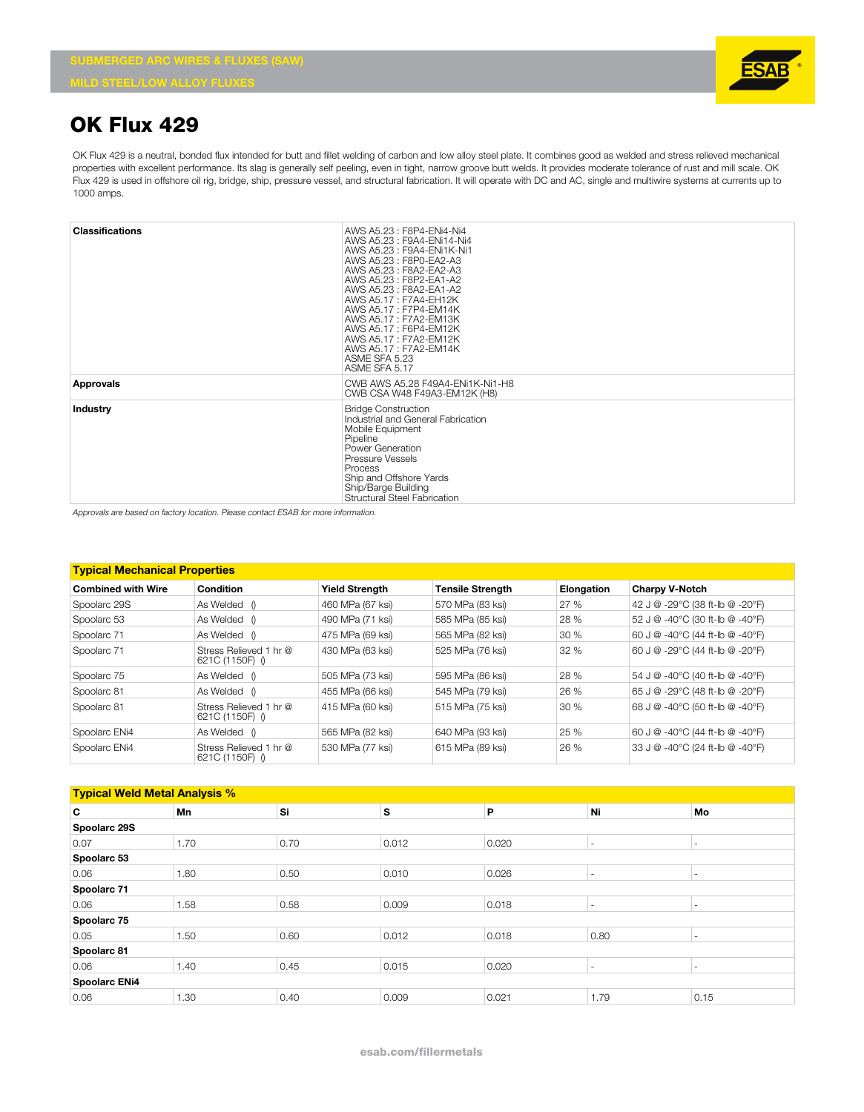

## **OK Flux 429**

OK Flux 429 is a neutral, bonded flux intended for butt and fillet welding of carbon and low alloy steel plate. It combines good as welded and stress relieved mechanical properties with excellent performance. Its slag is generally self peeling, even in tight, narrow groove butt welds. It provides moderate tolerance of rust and mill scale. OK Flux 429 is used in offshore oil rig, bridge, ship, pressure vessel, and structural fabrication. It will operate with DC and AC, single and multiwire systems at currents up to 1000 amps.

| <b>Classifications</b> | AWS A5.23 : F8P4-ENi4-Ni4<br>AWS A5.23: F9A4-ENi14-Ni4<br>AWS A5.23 : F9A4-ENi1K-Ni1<br>AWS A5.23: F8P0-EA2-A3<br>AWS A5.23: F8A2-EA2-A3<br>AWS A5.23 : F8P2-EA1-A2<br>AWS A5.23: F8A2-EA1-A2<br>AWS A5.17: F7A4-EH12K<br>AWS A5.17: F7P4-EM14K<br>AWS A5.17: F7A2-EM13K<br>AWS A5.17: F6P4-EM12K<br>AWS A5.17: F7A2-EM12K |
|------------------------|----------------------------------------------------------------------------------------------------------------------------------------------------------------------------------------------------------------------------------------------------------------------------------------------------------------------------|
|                        | AWS A5.17: F7A2-EM14K<br>ASME SFA 5.23<br>ASME SFA 5.17                                                                                                                                                                                                                                                                    |
| Approvals              | CWB AWS A5.28 F49A4-ENi1K-Ni1-H8<br>CWB CSA W48 F49A3-EM12K (H8)                                                                                                                                                                                                                                                           |
| Industry               | <b>Bridge Construction</b><br>Industrial and General Fabrication<br>Mobile Equipment<br>Pipeline<br>Power Generation<br>Pressure Vessels<br>Process<br>Ship and Offshore Yards<br>Ship/Barge Building<br>Structural Steel Fabrication                                                                                      |

*Approvals are based on factory location. Please contact ESAB for more information.*

| <b>Typical Mechanical Properties</b> |                                           |                                                  |                  |            |                                 |  |  |  |  |
|--------------------------------------|-------------------------------------------|--------------------------------------------------|------------------|------------|---------------------------------|--|--|--|--|
| <b>Combined with Wire</b>            | Condition                                 | <b>Yield Strength</b><br><b>Tensile Strength</b> |                  | Elongation | <b>Charpy V-Notch</b>           |  |  |  |  |
| Spoolarc 29S                         | As Welded ()                              | 460 MPa (67 ksi)                                 | 570 MPa (83 ksi) | 27%        | 42 J @ -29°C (38 ft-lb @ -20°F) |  |  |  |  |
| Spoolarc 53                          | As Welded ()                              | 490 MPa (71 ksi)                                 | 585 MPa (85 ksi) | 28 %       | 52 J @ -40°C (30 ft-lb @ -40°F) |  |  |  |  |
| Spoolarc 71                          | As Welded ()                              | 475 MPa (69 ksi)                                 | 565 MPa (82 ksi) | 30%        | 60 J @ -40°C (44 ft-lb @ -40°F) |  |  |  |  |
| Spoolarc 71                          | Stress Relieved 1 hr @<br>621C (1150F) () | 430 MPa (63 ksi)                                 | 525 MPa (76 ksi) | 32 %       | 60 J @ -29°C (44 ft-lb @ -20°F) |  |  |  |  |
| Spoolarc 75                          | As Welded ()                              | 505 MPa (73 ksi)                                 | 595 MPa (86 ksi) | 28 %       | 54 J @ -40°C (40 ft-lb @ -40°F) |  |  |  |  |
| Spoolarc 81                          | As Welded ()                              | 455 MPa (66 ksi)                                 | 545 MPa (79 ksi) | 26 %       | 65 J @ -29°C (48 ft-lb @ -20°F) |  |  |  |  |
| Spoolarc 81                          | Stress Relieved 1 hr @<br>621C (1150F) () | 415 MPa (60 ksi)                                 | 515 MPa (75 ksi) | 30%        | 68 J @ -40°C (50 ft-lb @ -40°F) |  |  |  |  |
| Spoolarc ENi4                        | As Welded ()                              | 565 MPa (82 ksi)                                 | 640 MPa (93 ksi) | 25 %       | 60 J @ -40°C (44 ft-lb @ -40°F) |  |  |  |  |
| Spoolarc ENi4                        | Stress Relieved 1 hr @<br>621C (1150F) () | 530 MPa (77 ksi)                                 | 615 MPa (89 ksi) | 26 %       | 33 J @ -40°C (24 ft-lb @ -40°F) |  |  |  |  |

| <b>Typical Weld Metal Analysis %</b> |      |      |       |       |                          |                          |  |  |  |  |
|--------------------------------------|------|------|-------|-------|--------------------------|--------------------------|--|--|--|--|
| C                                    | Mn   | Si   | s     | P     | Ni                       | Mo                       |  |  |  |  |
| Spoolarc 29S                         |      |      |       |       |                          |                          |  |  |  |  |
| 0.07                                 | 1.70 | 0.70 | 0.012 | 0.020 | $\sim$                   | $\overline{\phantom{a}}$ |  |  |  |  |
| Spoolarc 53                          |      |      |       |       |                          |                          |  |  |  |  |
| 0.06                                 | 1.80 | 0.50 | 0.010 | 0.026 | $\sim$                   | $\overline{\phantom{a}}$ |  |  |  |  |
| Spoolarc 71                          |      |      |       |       |                          |                          |  |  |  |  |
| 0.06                                 | 1.58 | 0.58 | 0.009 | 0.018 | $\overline{\phantom{a}}$ | ۰                        |  |  |  |  |
| Spoolarc 75                          |      |      |       |       |                          |                          |  |  |  |  |
| 0.05                                 | 1.50 | 0.60 | 0.012 | 0.018 | 0.80                     |                          |  |  |  |  |
| Spoolarc 81                          |      |      |       |       |                          |                          |  |  |  |  |
| 0.06                                 | 1.40 | 0.45 | 0.015 | 0.020 | $\overline{\phantom{a}}$ | -                        |  |  |  |  |
| <b>Spoolarc ENi4</b>                 |      |      |       |       |                          |                          |  |  |  |  |
| 0.06                                 | 1.30 | 0.40 | 0.009 | 0.021 | 1.79                     | 0.15                     |  |  |  |  |